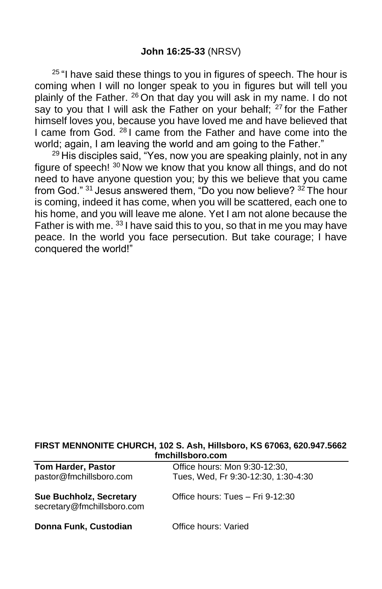<sup>25 "</sup>I have said these things to you in figures of speech. The hour is coming when I will no longer speak to you in figures but will tell you plainly of the Father. <sup>26</sup> On that day you will ask in my name. I do not say to you that I will ask the Father on your behalf;  $27$  for the Father himself loves you, because you have loved me and have believed that I came from God. <sup>28</sup> I came from the Father and have come into the world; again, I am leaving the world and am going to the Father."

<sup>29</sup> His disciples said, "Yes, now you are speaking plainly, not in any figure of speech! <sup>30</sup> Now we know that you know all things, and do not need to have anyone question you; by this we believe that you came from God." <sup>31</sup> Jesus answered them, "Do you now believe? <sup>32</sup> The hour is coming, indeed it has come, when you will be scattered, each one to his home, and you will leave me alone. Yet I am not alone because the Father is with me.  $33$  I have said this to you, so that in me you may have peace. In the world you face persecution. But take courage; I have conquered the world!"

#### **FIRST MENNONITE CHURCH, 102 S. Ash, Hillsboro, KS 67063, 620.947.5662 fmchillsboro.com**

| <b>Tom Harder, Pastor</b><br>pastor@fmchillsboro.com         | Office hours: Mon 9:30-12:30,<br>Tues, Wed, Fr 9:30-12:30, 1:30-4:30 |
|--------------------------------------------------------------|----------------------------------------------------------------------|
| <b>Sue Buchholz, Secretary</b><br>secretary@fmchillsboro.com | Office hours: Tues - Fri 9-12:30                                     |
| Donna Funk, Custodian                                        | Office hours: Varied                                                 |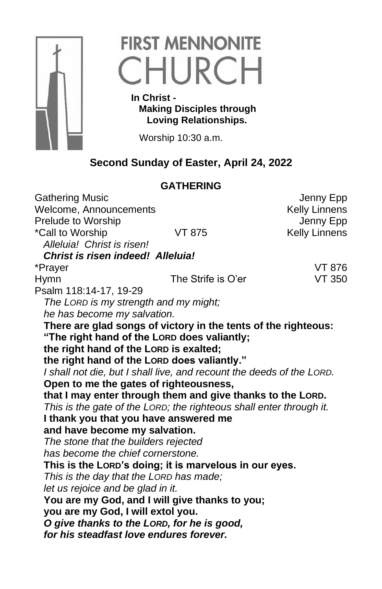

# **FIRST MENNONITE** CHURCH

 **In Christ - Making Disciples through Loving Relationships.**

Worship 10:30 a.m.

## **Second Sunday of Easter, April 24, 2022**

### **GATHERING** Gathering Music **Gathering Music Jenny Epp** Welcome, Announcements **Kelly Linnens** Prelude to Worship **Internal Contract Contract Contract Contract Contract Contract Contract Contract Contract Contract Contract Contract Contract Contract Contract Contract Contract Contract Contract Contract Contract Cont** \*Call to Worship VT 875 Kelly Linnens *Alleluia! Christ is risen! Christ is risen indeed! Alleluia!* \*Prayer VT 876 Hymn The Strife is O'er VT 350 Psalm 118:14-17, 19-29 *The LORD is my strength and my might; he has become my salvation.*  **There are glad songs of victory in the tents of the righteous: "The right hand of the LORD does valiantly; the right hand of the LORD is exalted; the right hand of the LORD does valiantly."**  *I shall not die, but I shall live, and recount the deeds of the LORD.*  **Open to me the gates of righteousness, that I may enter through them and give thanks to the LORD.**  *This is the gate of the LORD; the righteous shall enter through it.*  **I thank you that you have answered me and have become my salvation.**  *The stone that the builders rejected has become the chief cornerstone.*  **This is the LORD's doing; it is marvelous in our eyes.**  *This is the day that the LORD has made; let us rejoice and be glad in it.* **You are my God, and I will give thanks to you; you are my God, I will extol you.**  *O give thanks to the LORD, for he is good, for his steadfast love endures forever.*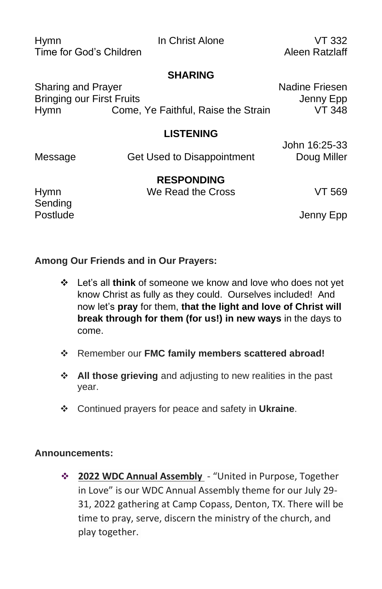| Hymn                    | In Christ Alone | VT 332                |
|-------------------------|-----------------|-----------------------|
| Time for God's Children |                 | Aleen Ratzlaff        |
|                         | <b>SHARING</b>  |                       |
| Sharing and Prayer      |                 | <b>Nadine Friesen</b> |

Bringing our First Fruits **Grating Strutter Control** Senate Jenny Epp Hymn Come, Ye Faithful, Raise the Strain VT 348

#### **LISTENING**

Message Get Used to Disappointment Doug Miller

John 16:25-33

**RESPONDING**

Hymn We Read the Cross VT 569 Sending

Postlude Jenny Epp

### **Among Our Friends and in Our Prayers:**

- ❖ Let's all **think** of someone we know and love who does not yet know Christ as fully as they could. Ourselves included! And now let's **pray** for them, **that the light and love of Christ will break through for them (for us!) in new ways** in the days to come.
- ❖ Remember our **FMC family members scattered abroad!**
- ❖ **All those grieving** and adjusting to new realities in the past year.
- ❖ Continued prayers for peace and safety in **Ukraine**.

#### **Announcements:**

❖ **2022 WDC Annual Assembly** - "United in Purpose, Together in Love" is our WDC Annual Assembly theme for our July 29- 31, 2022 gathering at Camp Copass, Denton, TX. There will be time to pray, serve, discern the ministry of the church, and play together.